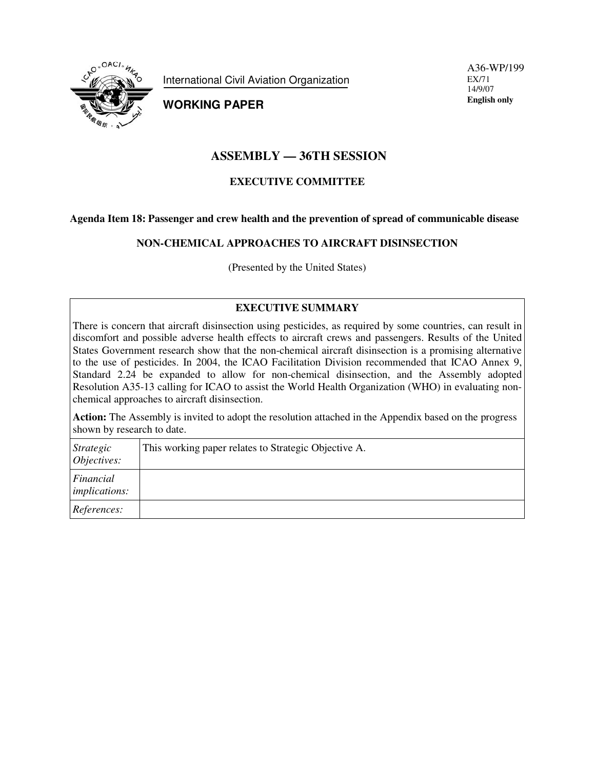

International Civil Aviation Organization

**WORKING PAPER**

A36-WP/199 EX/71 14/9/07 **English only**

# **ASSEMBLY — 36TH SESSION**

# **EXECUTIVE COMMITTEE**

### **Agenda Item 18: Passenger and crew health and the prevention of spread of communicable disease**

## **NON-CHEMICAL APPROACHES TO AIRCRAFT DISINSECTION**

(Presented by the United States)

## **EXECUTIVE SUMMARY**

There is concern that aircraft disinsection using pesticides, as required by some countries, can result in discomfort and possible adverse health effects to aircraft crews and passengers. Results of the United States Government research show that the non-chemical aircraft disinsection is a promising alternative to the use of pesticides. In 2004, the ICAO Facilitation Division recommended that ICAO Annex 9, Standard 2.24 be expanded to allow for non-chemical disinsection, and the Assembly adopted Resolution A35-13 calling for ICAO to assist the World Health Organization (WHO) in evaluating nonchemical approaches to aircraft disinsection.

**Action:** The Assembly is invited to adopt the resolution attached in the Appendix based on the progress shown by research to date.

| <i>Strategic</i><br>Objectives:   | This working paper relates to Strategic Objective A. |
|-----------------------------------|------------------------------------------------------|
| Financial<br><i>implications:</i> |                                                      |
| References:                       |                                                      |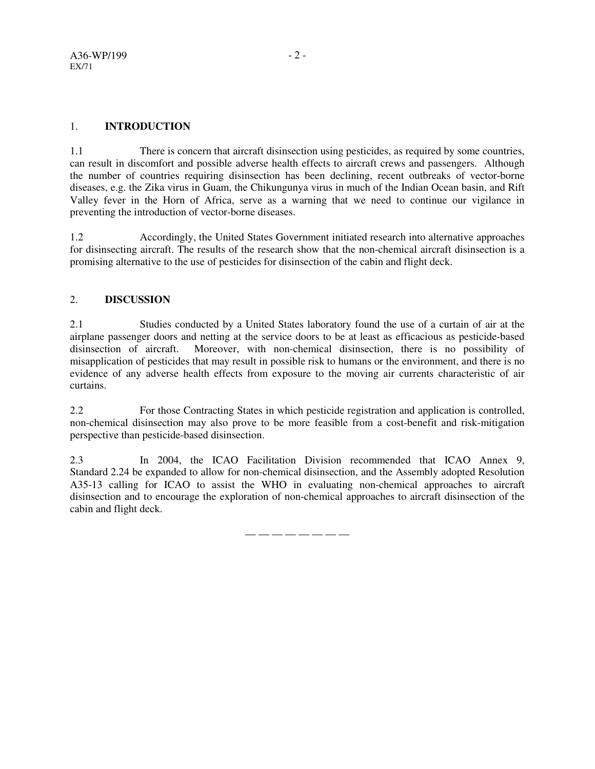# 1. **INTRODUCTION**

1.1 There is concern that aircraft disinsection using pesticides, as required by some countries, can result in discomfort and possible adverse health effects to aircraft crews and passengers. Although the number of countries requiring disinsection has been declining, recent outbreaks of vector-borne diseases, e.g. the Zika virus in Guam, the Chikungunya virus in much of the Indian Ocean basin, and Rift Valley fever in the Horn of Africa, serve as a warning that we need to continue our vigilance in preventing the introduction of vector-borne diseases.

1.2 Accordingly, the United States Government initiated research into alternative approaches for disinsecting aircraft. The results of the research show that the non-chemical aircraft disinsection is a promising alternative to the use of pesticides for disinsection of the cabin and flight deck.

# 2. **DISCUSSION**

2.1 Studies conducted by a United States laboratory found the use of a curtain of air at the airplane passenger doors and netting at the service doors to be at least as efficacious as pesticide-based disinsection of aircraft. Moreover, with non-chemical disinsection, there is no possibility of misapplication of pesticides that may result in possible risk to humans or the environment, and there is no evidence of any adverse health effects from exposure to the moving air currents characteristic of air curtains.

2.2 For those Contracting States in which pesticide registration and application is controlled, non-chemical disinsection may also prove to be more feasible from a cost-benefit and risk-mitigation perspective than pesticide-based disinsection.

2.3 In 2004, the ICAO Facilitation Division recommended that ICAO Annex 9, Standard 2.24 be expanded to allow for non-chemical disinsection, and the Assembly adopted Resolution A35-13 calling for ICAO to assist the WHO in evaluating non-chemical approaches to aircraft disinsection and to encourage the exploration of non-chemical approaches to aircraft disinsection of the cabin and flight deck.

— — — — — — — —